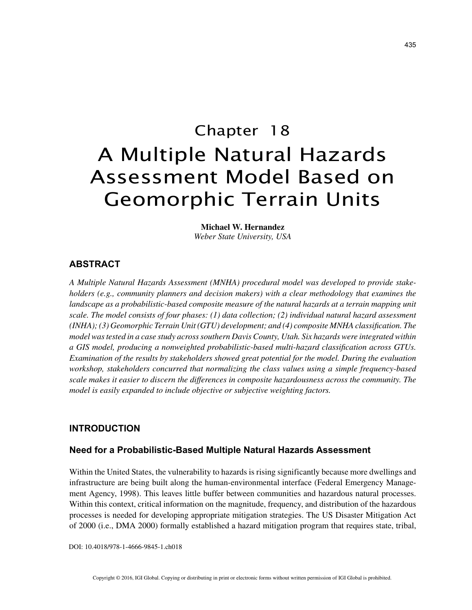# Chapter 18 A Multiple Natural Hazards Assessment Model Based on Geomorphic Terrain Units

**Michael W. Hernandez** *Weber State University, USA*

## **ABSTRACT**

*A Multiple Natural Hazards Assessment (MNHA) procedural model was developed to provide stakeholders (e.g., community planners and decision makers) with a clear methodology that examines the*  landscape as a probabilistic-based composite measure of the natural hazards at a terrain mapping unit *scale. The model consists of four phases: (1) data collection; (2) individual natural hazard assessment (INHA); (3) Geomorphic Terrain Unit (GTU) development; and (4) composite MNHA classification. The model was tested in a case study across southern Davis County, Utah. Six hazards were integrated within a GIS model, producing a nonweighted probabilistic-based multi-hazard classification across GTUs. Examination of the results by stakeholders showed great potential for the model. During the evaluation workshop, stakeholders concurred that normalizing the class values using a simple frequency-based scale makes it easier to discern the differences in composite hazardousness across the community. The model is easily expanded to include objective or subjective weighting factors.*

## **INTRODUCTION**

#### **Need for a Probabilistic-Based Multiple Natural Hazards Assessment**

Within the United States, the vulnerability to hazards is rising significantly because more dwellings and infrastructure are being built along the human-environmental interface (Federal Emergency Management Agency, 1998). This leaves little buffer between communities and hazardous natural processes. Within this context, critical information on the magnitude, frequency, and distribution of the hazardous processes is needed for developing appropriate mitigation strategies. The US Disaster Mitigation Act of 2000 (i.e., DMA 2000) formally established a hazard mitigation program that requires state, tribal,

DOI: 10.4018/978-1-4666-9845-1.ch018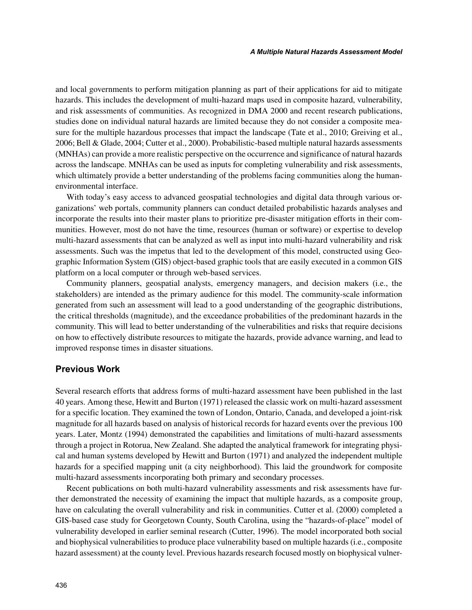and local governments to perform mitigation planning as part of their applications for aid to mitigate hazards. This includes the development of multi-hazard maps used in composite hazard, vulnerability, and risk assessments of communities. As recognized in DMA 2000 and recent research publications, studies done on individual natural hazards are limited because they do not consider a composite measure for the multiple hazardous processes that impact the landscape (Tate et al., 2010; Greiving et al., 2006; Bell & Glade, 2004; Cutter et al., 2000). Probabilistic-based multiple natural hazards assessments (MNHAs) can provide a more realistic perspective on the occurrence and significance of natural hazards across the landscape. MNHAs can be used as inputs for completing vulnerability and risk assessments, which ultimately provide a better understanding of the problems facing communities along the humanenvironmental interface.

With today's easy access to advanced geospatial technologies and digital data through various organizations' web portals, community planners can conduct detailed probabilistic hazards analyses and incorporate the results into their master plans to prioritize pre-disaster mitigation efforts in their communities. However, most do not have the time, resources (human or software) or expertise to develop multi-hazard assessments that can be analyzed as well as input into multi-hazard vulnerability and risk assessments. Such was the impetus that led to the development of this model, constructed using Geographic Information System (GIS) object-based graphic tools that are easily executed in a common GIS platform on a local computer or through web-based services.

Community planners, geospatial analysts, emergency managers, and decision makers (i.e., the stakeholders) are intended as the primary audience for this model. The community-scale information generated from such an assessment will lead to a good understanding of the geographic distributions, the critical thresholds (magnitude), and the exceedance probabilities of the predominant hazards in the community. This will lead to better understanding of the vulnerabilities and risks that require decisions on how to effectively distribute resources to mitigate the hazards, provide advance warning, and lead to improved response times in disaster situations.

## **Previous Work**

Several research efforts that address forms of multi-hazard assessment have been published in the last 40 years. Among these, Hewitt and Burton (1971) released the classic work on multi-hazard assessment for a specific location. They examined the town of London, Ontario, Canada, and developed a joint-risk magnitude for all hazards based on analysis of historical records for hazard events over the previous 100 years. Later, Montz (1994) demonstrated the capabilities and limitations of multi-hazard assessments through a project in Rotorua, New Zealand. She adapted the analytical framework for integrating physical and human systems developed by Hewitt and Burton (1971) and analyzed the independent multiple hazards for a specified mapping unit (a city neighborhood). This laid the groundwork for composite multi-hazard assessments incorporating both primary and secondary processes.

Recent publications on both multi-hazard vulnerability assessments and risk assessments have further demonstrated the necessity of examining the impact that multiple hazards, as a composite group, have on calculating the overall vulnerability and risk in communities. Cutter et al. (2000) completed a GIS-based case study for Georgetown County, South Carolina, using the "hazards-of-place" model of vulnerability developed in earlier seminal research (Cutter, 1996). The model incorporated both social and biophysical vulnerabilities to produce place vulnerability based on multiple hazards (i.e., composite hazard assessment) at the county level. Previous hazards research focused mostly on biophysical vulner